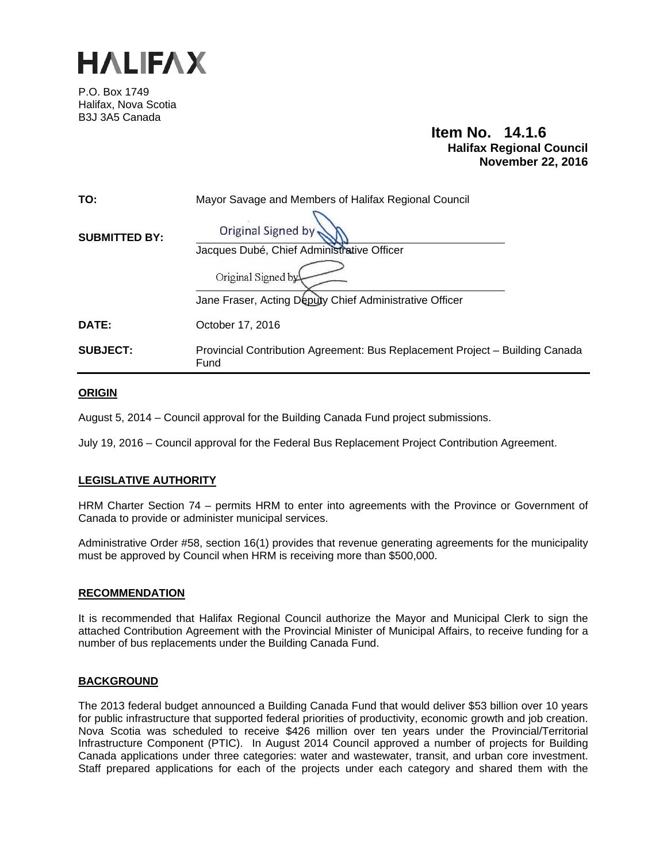

P.O. Box 1749 Halifax, Nova Scotia B3J 3A5 Canada

### **Item No. 14.1.6 Halifax Regional Council November 22, 2016**

| TO:                  | Mayor Savage and Members of Halifax Regional Council                                 |  |  |
|----------------------|--------------------------------------------------------------------------------------|--|--|
| <b>SUBMITTED BY:</b> | Original Signed by                                                                   |  |  |
|                      | Jacques Dubé, Chief Administrative Officer                                           |  |  |
|                      | Original Signed by                                                                   |  |  |
|                      | Jane Fraser, Acting Deputy Chief Administrative Officer                              |  |  |
| DATE:                | October 17, 2016                                                                     |  |  |
| <b>SUBJECT:</b>      | Provincial Contribution Agreement: Bus Replacement Project - Building Canada<br>Fund |  |  |

#### **ORIGIN**

August 5, 2014 – Council approval for the Building Canada Fund project submissions.

July 19, 2016 – Council approval for the Federal Bus Replacement Project Contribution Agreement.

#### **LEGISLATIVE AUTHORITY**

HRM Charter Section 74 – permits HRM to enter into agreements with the Province or Government of Canada to provide or administer municipal services.

Administrative Order #58, section 16(1) provides that revenue generating agreements for the municipality must be approved by Council when HRM is receiving more than \$500,000.

#### **RECOMMENDATION**

It is recommended that Halifax Regional Council authorize the Mayor and Municipal Clerk to sign the attached Contribution Agreement with the Provincial Minister of Municipal Affairs, to receive funding for a number of bus replacements under the Building Canada Fund.

#### **BACKGROUND**

The 2013 federal budget announced a Building Canada Fund that would deliver \$53 billion over 10 years for public infrastructure that supported federal priorities of productivity, economic growth and job creation. Nova Scotia was scheduled to receive \$426 million over ten years under the Provincial/Territorial Infrastructure Component (PTIC). In August 2014 Council approved a number of projects for Building Canada applications under three categories: water and wastewater, transit, and urban core investment. Staff prepared applications for each of the projects under each category and shared them with the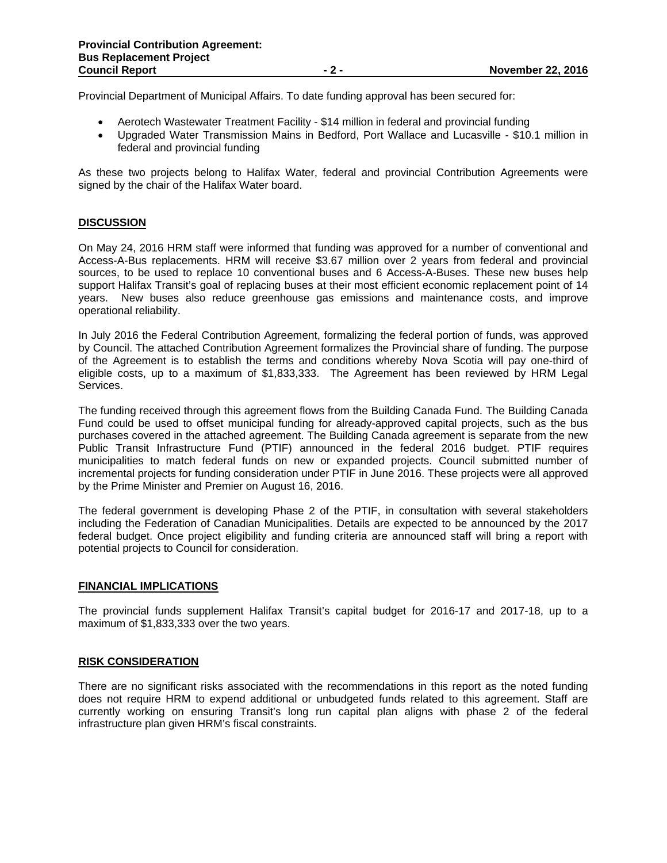Provincial Department of Municipal Affairs. To date funding approval has been secured for:

- Aerotech Wastewater Treatment Facility \$14 million in federal and provincial funding
- Upgraded Water Transmission Mains in Bedford, Port Wallace and Lucasville \$10.1 million in federal and provincial funding

As these two projects belong to Halifax Water, federal and provincial Contribution Agreements were signed by the chair of the Halifax Water board.

#### **DISCUSSION**

On May 24, 2016 HRM staff were informed that funding was approved for a number of conventional and Access-A-Bus replacements. HRM will receive \$3.67 million over 2 years from federal and provincial sources, to be used to replace 10 conventional buses and 6 Access-A-Buses. These new buses help support Halifax Transit's goal of replacing buses at their most efficient economic replacement point of 14 years. New buses also reduce greenhouse gas emissions and maintenance costs, and improve operational reliability.

In July 2016 the Federal Contribution Agreement, formalizing the federal portion of funds, was approved by Council. The attached Contribution Agreement formalizes the Provincial share of funding. The purpose of the Agreement is to establish the terms and conditions whereby Nova Scotia will pay one-third of eligible costs, up to a maximum of \$1,833,333. The Agreement has been reviewed by HRM Legal Services.

The funding received through this agreement flows from the Building Canada Fund. The Building Canada Fund could be used to offset municipal funding for already-approved capital projects, such as the bus purchases covered in the attached agreement. The Building Canada agreement is separate from the new Public Transit Infrastructure Fund (PTIF) announced in the federal 2016 budget. PTIF requires municipalities to match federal funds on new or expanded projects. Council submitted number of incremental projects for funding consideration under PTIF in June 2016. These projects were all approved by the Prime Minister and Premier on August 16, 2016.

The federal government is developing Phase 2 of the PTIF, in consultation with several stakeholders including the Federation of Canadian Municipalities. Details are expected to be announced by the 2017 federal budget. Once project eligibility and funding criteria are announced staff will bring a report with potential projects to Council for consideration.

#### **FINANCIAL IMPLICATIONS**

The provincial funds supplement Halifax Transit's capital budget for 2016-17 and 2017-18, up to a maximum of \$1,833,333 over the two years.

#### **RISK CONSIDERATION**

There are no significant risks associated with the recommendations in this report as the noted funding does not require HRM to expend additional or unbudgeted funds related to this agreement. Staff are currently working on ensuring Transit's long run capital plan aligns with phase 2 of the federal infrastructure plan given HRM's fiscal constraints.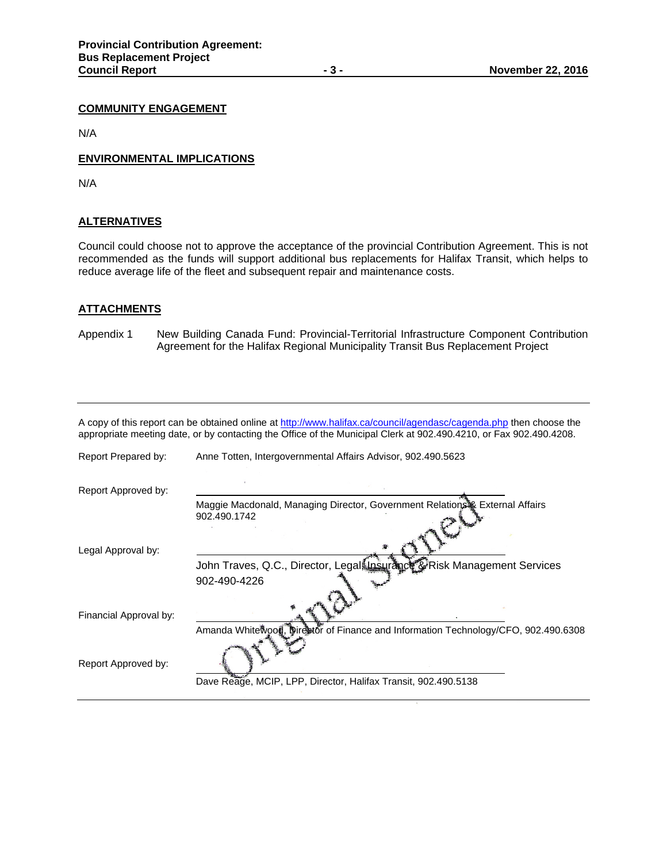#### **COMMUNITY ENGAGEMENT**

N/A

#### **ENVIRONMENTAL IMPLICATIONS**

N/A

#### **ALTERNATIVES**

Council could choose not to approve the acceptance of the provincial Contribution Agreement. This is not recommended as the funds will support additional bus replacements for Halifax Transit, which helps to reduce average life of the fleet and subsequent repair and maintenance costs.

#### **ATTACHMENTS**

Appendix 1 New Building Canada Fund: Provincial-Territorial Infrastructure Component Contribution Agreement for the Halifax Regional Municipality Transit Bus Replacement Project

A copy of this report can be obtained online at http://www.halifax.ca/council/agendasc/cagenda.php then choose the appropriate meeting date, or by contacting the Office of the Municipal Clerk at 902.490.4210, or Fax 902.490.4208.

| Report Prepared by:    | Anne Totten, Intergovernmental Affairs Advisor, 902.490.5623                                 |
|------------------------|----------------------------------------------------------------------------------------------|
| Report Approved by:    |                                                                                              |
|                        | Maggie Macdonald, Managing Director, Government Relations & External Affairs<br>902.490.1742 |
| Legal Approval by:     | John Traves, Q.C., Director, Legal Insurance & Risk Management Services<br>902-490-4226      |
| Financial Approval by: | Amanda White wood, Director of Finance and Information Technology/CFO, 902.490.6308          |
| Report Approved by:    | Dave Reage, MCIP, LPP, Director, Halifax Transit, 902.490.5138                               |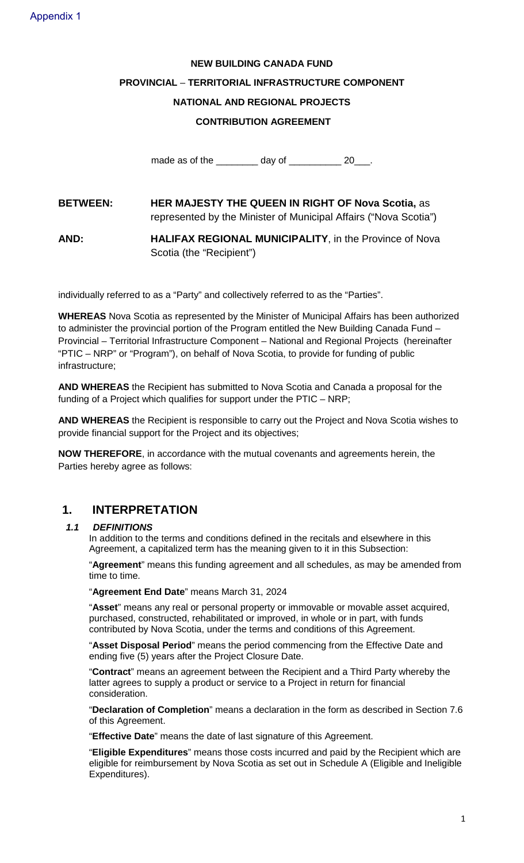### **NEW BUILDING CANADA FUND**

### **PROVINCIAL** – **TERRITORIAL INFRASTRUCTURE COMPONENT**

### **NATIONAL AND REGIONAL PROJECTS**

### **CONTRIBUTION AGREEMENT**

made as of the  $\frac{1}{20}$  day of  $\frac{1}{20}$ .

**BETWEEN: HER MAJESTY THE QUEEN IN RIGHT OF Nova Scotia,** as represented by the Minister of Municipal Affairs ("Nova Scotia")

**AND: HALIFAX REGIONAL MUNICIPALITY**, in the Province of Nova Scotia (the "Recipient")

individually referred to as a "Party" and collectively referred to as the "Parties".

**WHEREAS** Nova Scotia as represented by the Minister of Municipal Affairs has been authorized to administer the provincial portion of the Program entitled the New Building Canada Fund – Provincial – Territorial Infrastructure Component – National and Regional Projects (hereinafter "PTIC – NRP" or "Program"), on behalf of Nova Scotia, to provide for funding of public infrastructure;

**AND WHEREAS** the Recipient has submitted to Nova Scotia and Canada a proposal for the funding of a Project which qualifies for support under the PTIC – NRP;

**AND WHEREAS** the Recipient is responsible to carry out the Project and Nova Scotia wishes to provide financial support for the Project and its objectives;

**NOW THEREFORE**, in accordance with the mutual covenants and agreements herein, the Parties hereby agree as follows:

## **1. INTERPRETATION**

### *1.1 DEFINITIONS*

In addition to the terms and conditions defined in the recitals and elsewhere in this Agreement, a capitalized term has the meaning given to it in this Subsection:

"**Agreement**" means this funding agreement and all schedules, as may be amended from time to time.

"**Agreement End Date**" means March 31, 2024

"**Asset**" means any real or personal property or immovable or movable asset acquired, purchased, constructed, rehabilitated or improved, in whole or in part, with funds contributed by Nova Scotia, under the terms and conditions of this Agreement.

"**Asset Disposal Period**" means the period commencing from the Effective Date and ending five (5) years after the Project Closure Date.

"**Contract**" means an agreement between the Recipient and a Third Party whereby the latter agrees to supply a product or service to a Project in return for financial consideration.

"**Declaration of Completion**" means a declaration in the form as described in Section 7.6 of this Agreement.

"**Effective Date**" means the date of last signature of this Agreement.

"**Eligible Expenditures**" means those costs incurred and paid by the Recipient which are eligible for reimbursement by Nova Scotia as set out in Schedule A (Eligible and Ineligible Expenditures).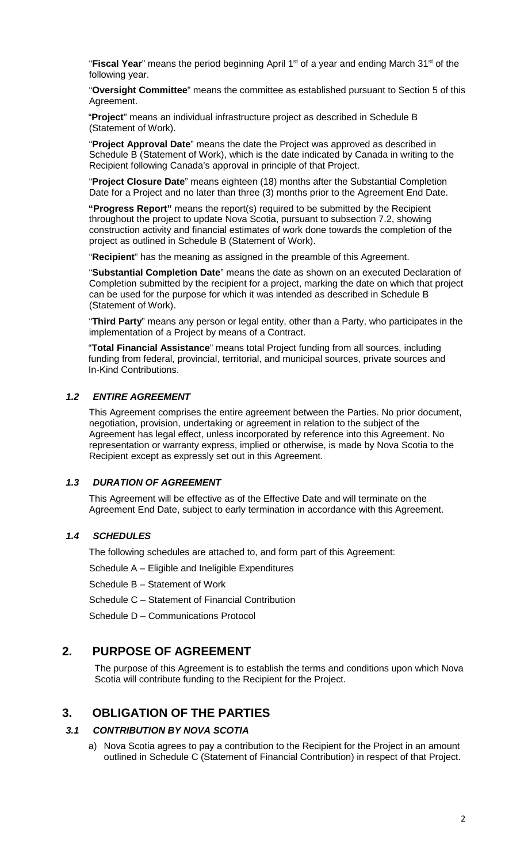"**Fiscal Year**" means the period beginning April 1st of a year and ending March 31st of the following year.

"**Oversight Committee**" means the committee as established pursuant to Section 5 of this Agreement.

"**Project**" means an individual infrastructure project as described in Schedule B (Statement of Work).

"**Project Approval Date**" means the date the Project was approved as described in Schedule B (Statement of Work), which is the date indicated by Canada in writing to the Recipient following Canada's approval in principle of that Project.

"**Project Closure Date**" means eighteen (18) months after the Substantial Completion Date for a Project and no later than three (3) months prior to the Agreement End Date.

**"Progress Report"** means the report(s) required to be submitted by the Recipient throughout the project to update Nova Scotia, pursuant to subsection 7.2, showing construction activity and financial estimates of work done towards the completion of the project as outlined in Schedule B (Statement of Work).

"**Recipient**" has the meaning as assigned in the preamble of this Agreement.

"**Substantial Completion Date**" means the date as shown on an executed Declaration of Completion submitted by the recipient for a project, marking the date on which that project can be used for the purpose for which it was intended as described in Schedule B (Statement of Work).

"**Third Party**" means any person or legal entity, other than a Party, who participates in the implementation of a Project by means of a Contract.

"**Total Financial Assistance**" means total Project funding from all sources, including funding from federal, provincial, territorial, and municipal sources, private sources and In-Kind Contributions.

### *1.2 ENTIRE AGREEMENT*

This Agreement comprises the entire agreement between the Parties. No prior document, negotiation, provision, undertaking or agreement in relation to the subject of the Agreement has legal effect, unless incorporated by reference into this Agreement. No representation or warranty express, implied or otherwise, is made by Nova Scotia to the Recipient except as expressly set out in this Agreement.

### *1.3 DURATION OF AGREEMENT*

This Agreement will be effective as of the Effective Date and will terminate on the Agreement End Date, subject to early termination in accordance with this Agreement.

### *1.4 SCHEDULES*

The following schedules are attached to, and form part of this Agreement:

Schedule A – Eligible and Ineligible Expenditures

Schedule B – Statement of Work

Schedule C – Statement of Financial Contribution

Schedule D – Communications Protocol

### **2. PURPOSE OF AGREEMENT**

The purpose of this Agreement is to establish the terms and conditions upon which Nova Scotia will contribute funding to the Recipient for the Project.

## **3. OBLIGATION OF THE PARTIES**

### *3.1 CONTRIBUTION BY NOVA SCOTIA*

a) Nova Scotia agrees to pay a contribution to the Recipient for the Project in an amount outlined in Schedule C (Statement of Financial Contribution) in respect of that Project.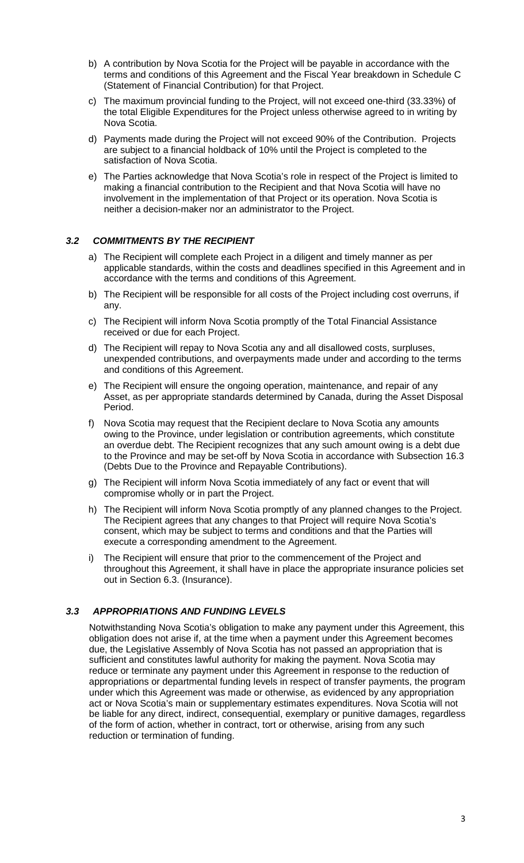- b) A contribution by Nova Scotia for the Project will be payable in accordance with the terms and conditions of this Agreement and the Fiscal Year breakdown in Schedule C (Statement of Financial Contribution) for that Project.
- c) The maximum provincial funding to the Project, will not exceed one-third (33.33%) of the total Eligible Expenditures for the Project unless otherwise agreed to in writing by Nova Scotia.
- d) Payments made during the Project will not exceed 90% of the Contribution. Projects are subject to a financial holdback of 10% until the Project is completed to the satisfaction of Nova Scotia.
- e) The Parties acknowledge that Nova Scotia's role in respect of the Project is limited to making a financial contribution to the Recipient and that Nova Scotia will have no involvement in the implementation of that Project or its operation. Nova Scotia is neither a decision-maker nor an administrator to the Project.

### *3.2 COMMITMENTS BY THE RECIPIENT*

- a) The Recipient will complete each Project in a diligent and timely manner as per applicable standards, within the costs and deadlines specified in this Agreement and in accordance with the terms and conditions of this Agreement.
- b) The Recipient will be responsible for all costs of the Project including cost overruns, if any.
- c) The Recipient will inform Nova Scotia promptly of the Total Financial Assistance received or due for each Project.
- d) The Recipient will repay to Nova Scotia any and all disallowed costs, surpluses, unexpended contributions, and overpayments made under and according to the terms and conditions of this Agreement.
- e) The Recipient will ensure the ongoing operation, maintenance, and repair of any Asset, as per appropriate standards determined by Canada, during the Asset Disposal Period.
- f) Nova Scotia may request that the Recipient declare to Nova Scotia any amounts owing to the Province, under legislation or contribution agreements, which constitute an overdue debt. The Recipient recognizes that any such amount owing is a debt due to the Province and may be set-off by Nova Scotia in accordance with Subsection 16.3 (Debts Due to the Province and Repayable Contributions).
- g) The Recipient will inform Nova Scotia immediately of any fact or event that will compromise wholly or in part the Project.
- h) The Recipient will inform Nova Scotia promptly of any planned changes to the Project. The Recipient agrees that any changes to that Project will require Nova Scotia's consent, which may be subject to terms and conditions and that the Parties will execute a corresponding amendment to the Agreement.
- The Recipient will ensure that prior to the commencement of the Project and throughout this Agreement, it shall have in place the appropriate insurance policies set out in Section 6.3. (Insurance).

### *3.3 APPROPRIATIONS AND FUNDING LEVELS*

Notwithstanding Nova Scotia's obligation to make any payment under this Agreement, this obligation does not arise if, at the time when a payment under this Agreement becomes due, the Legislative Assembly of Nova Scotia has not passed an appropriation that is sufficient and constitutes lawful authority for making the payment. Nova Scotia may reduce or terminate any payment under this Agreement in response to the reduction of appropriations or departmental funding levels in respect of transfer payments, the program under which this Agreement was made or otherwise, as evidenced by any appropriation act or Nova Scotia's main or supplementary estimates expenditures. Nova Scotia will not be liable for any direct, indirect, consequential, exemplary or punitive damages, regardless of the form of action, whether in contract, tort or otherwise, arising from any such reduction or termination of funding.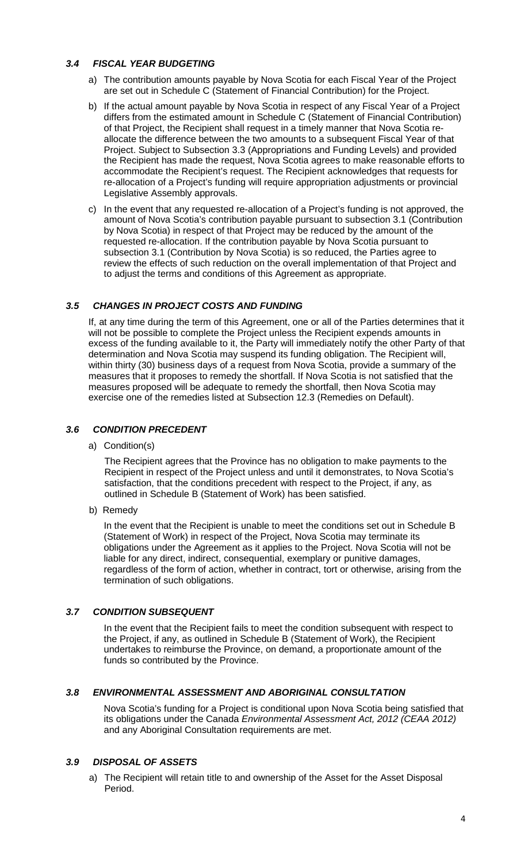### *3.4 FISCAL YEAR BUDGETING*

- a) The contribution amounts payable by Nova Scotia for each Fiscal Year of the Project are set out in Schedule C (Statement of Financial Contribution) for the Project.
- b) If the actual amount payable by Nova Scotia in respect of any Fiscal Year of a Project differs from the estimated amount in Schedule C (Statement of Financial Contribution) of that Project, the Recipient shall request in a timely manner that Nova Scotia reallocate the difference between the two amounts to a subsequent Fiscal Year of that Project. Subject to Subsection 3.3 (Appropriations and Funding Levels) and provided the Recipient has made the request, Nova Scotia agrees to make reasonable efforts to accommodate the Recipient's request. The Recipient acknowledges that requests for re-allocation of a Project's funding will require appropriation adjustments or provincial Legislative Assembly approvals.
- c) In the event that any requested re-allocation of a Project's funding is not approved, the amount of Nova Scotia's contribution payable pursuant to subsection 3.1 (Contribution by Nova Scotia) in respect of that Project may be reduced by the amount of the requested re-allocation. If the contribution payable by Nova Scotia pursuant to subsection 3.1 (Contribution by Nova Scotia) is so reduced, the Parties agree to review the effects of such reduction on the overall implementation of that Project and to adjust the terms and conditions of this Agreement as appropriate.

### *3.5 CHANGES IN PROJECT COSTS AND FUNDING*

If, at any time during the term of this Agreement, one or all of the Parties determines that it will not be possible to complete the Project unless the Recipient expends amounts in excess of the funding available to it, the Party will immediately notify the other Party of that determination and Nova Scotia may suspend its funding obligation. The Recipient will, within thirty (30) business days of a request from Nova Scotia, provide a summary of the measures that it proposes to remedy the shortfall. If Nova Scotia is not satisfied that the measures proposed will be adequate to remedy the shortfall, then Nova Scotia may exercise one of the remedies listed at Subsection 12.3 (Remedies on Default).

### *3.6 CONDITION PRECEDENT*

a) Condition(s)

The Recipient agrees that the Province has no obligation to make payments to the Recipient in respect of the Project unless and until it demonstrates, to Nova Scotia's satisfaction, that the conditions precedent with respect to the Project, if any, as outlined in Schedule B (Statement of Work) has been satisfied.

b) Remedy

In the event that the Recipient is unable to meet the conditions set out in Schedule B (Statement of Work) in respect of the Project, Nova Scotia may terminate its obligations under the Agreement as it applies to the Project. Nova Scotia will not be liable for any direct, indirect, consequential, exemplary or punitive damages, regardless of the form of action, whether in contract, tort or otherwise, arising from the termination of such obligations.

### *3.7 CONDITION SUBSEQUENT*

In the event that the Recipient fails to meet the condition subsequent with respect to the Project, if any, as outlined in Schedule B (Statement of Work), the Recipient undertakes to reimburse the Province, on demand, a proportionate amount of the funds so contributed by the Province.

### *3.8 ENVIRONMENTAL ASSESSMENT AND ABORIGINAL CONSULTATION*

Nova Scotia's funding for a Project is conditional upon Nova Scotia being satisfied that its obligations under the Canada *Environmental Assessment Act, 2012 (CEAA 2012)* and any Aboriginal Consultation requirements are met.

### *3.9 DISPOSAL OF ASSETS*

a) The Recipient will retain title to and ownership of the Asset for the Asset Disposal Period.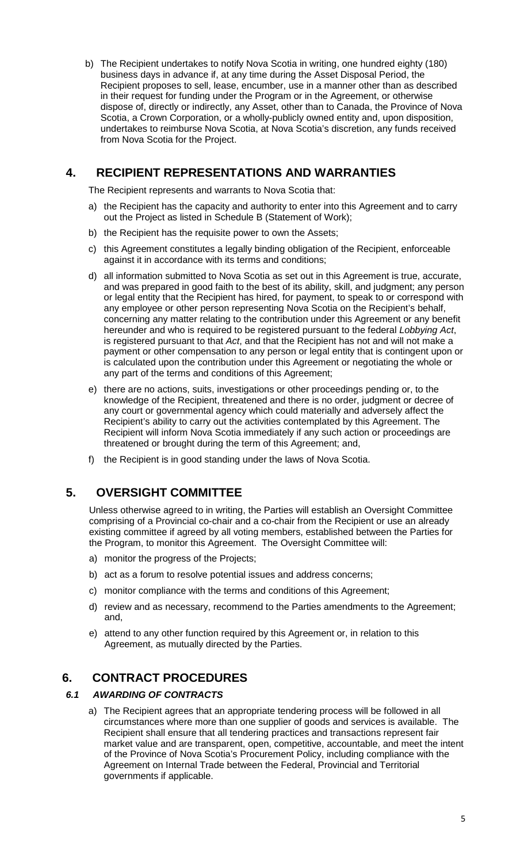b) The Recipient undertakes to notify Nova Scotia in writing, one hundred eighty (180) business days in advance if, at any time during the Asset Disposal Period, the Recipient proposes to sell, lease, encumber, use in a manner other than as described in their request for funding under the Program or in the Agreement, or otherwise dispose of, directly or indirectly, any Asset, other than to Canada, the Province of Nova Scotia, a Crown Corporation, or a wholly-publicly owned entity and, upon disposition, undertakes to reimburse Nova Scotia, at Nova Scotia's discretion, any funds received from Nova Scotia for the Project.

## **4. RECIPIENT REPRESENTATIONS AND WARRANTIES**

The Recipient represents and warrants to Nova Scotia that:

- a) the Recipient has the capacity and authority to enter into this Agreement and to carry out the Project as listed in Schedule B (Statement of Work);
- b) the Recipient has the requisite power to own the Assets;
- c) this Agreement constitutes a legally binding obligation of the Recipient, enforceable against it in accordance with its terms and conditions;
- d) all information submitted to Nova Scotia as set out in this Agreement is true, accurate, and was prepared in good faith to the best of its ability, skill, and judgment; any person or legal entity that the Recipient has hired, for payment, to speak to or correspond with any employee or other person representing Nova Scotia on the Recipient's behalf, concerning any matter relating to the contribution under this Agreement or any benefit hereunder and who is required to be registered pursuant to the federal *Lobbying Act*, is registered pursuant to that *Act*, and that the Recipient has not and will not make a payment or other compensation to any person or legal entity that is contingent upon or is calculated upon the contribution under this Agreement or negotiating the whole or any part of the terms and conditions of this Agreement;
- e) there are no actions, suits, investigations or other proceedings pending or, to the knowledge of the Recipient, threatened and there is no order, judgment or decree of any court or governmental agency which could materially and adversely affect the Recipient's ability to carry out the activities contemplated by this Agreement. The Recipient will inform Nova Scotia immediately if any such action or proceedings are threatened or brought during the term of this Agreement; and,
- f) the Recipient is in good standing under the laws of Nova Scotia.

## **5. OVERSIGHT COMMITTEE**

Unless otherwise agreed to in writing, the Parties will establish an Oversight Committee comprising of a Provincial co-chair and a co-chair from the Recipient or use an already existing committee if agreed by all voting members, established between the Parties for the Program, to monitor this Agreement. The Oversight Committee will:

- a) monitor the progress of the Projects;
- b) act as a forum to resolve potential issues and address concerns;
- c) monitor compliance with the terms and conditions of this Agreement;
- d) review and as necessary, recommend to the Parties amendments to the Agreement; and,
- e) attend to any other function required by this Agreement or, in relation to this Agreement, as mutually directed by the Parties.

## **6. CONTRACT PROCEDURES**

### *6.1 AWARDING OF CONTRACTS*

a) The Recipient agrees that an appropriate tendering process will be followed in all circumstances where more than one supplier of goods and services is available. The Recipient shall ensure that all tendering practices and transactions represent fair market value and are transparent, open, competitive, accountable, and meet the intent of the Province of Nova Scotia's Procurement Policy, including compliance with the Agreement on Internal Trade between the Federal, Provincial and Territorial governments if applicable.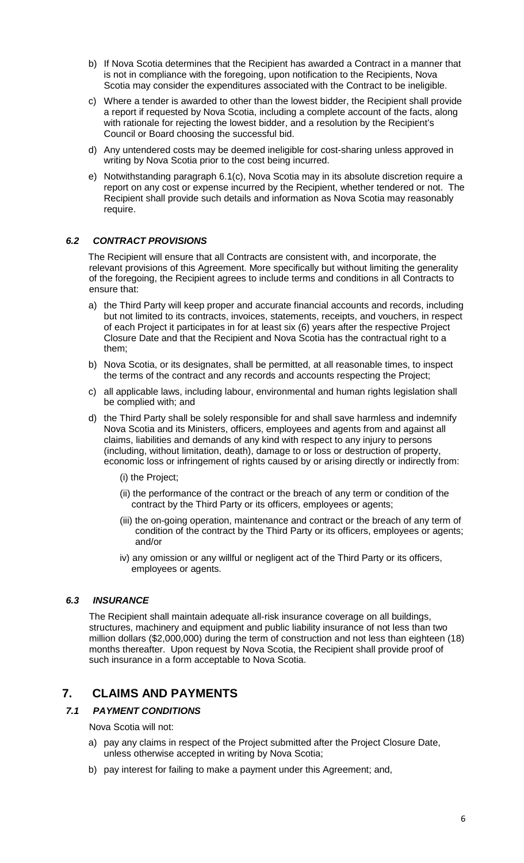- b) If Nova Scotia determines that the Recipient has awarded a Contract in a manner that is not in compliance with the foregoing, upon notification to the Recipients, Nova Scotia may consider the expenditures associated with the Contract to be ineligible.
- c) Where a tender is awarded to other than the lowest bidder, the Recipient shall provide a report if requested by Nova Scotia, including a complete account of the facts, along with rationale for rejecting the lowest bidder, and a resolution by the Recipient's Council or Board choosing the successful bid.
- d) Any untendered costs may be deemed ineligible for cost-sharing unless approved in writing by Nova Scotia prior to the cost being incurred.
- e) Notwithstanding paragraph 6.1(c), Nova Scotia may in its absolute discretion require a report on any cost or expense incurred by the Recipient, whether tendered or not. The Recipient shall provide such details and information as Nova Scotia may reasonably require.

### *6.2 CONTRACT PROVISIONS*

The Recipient will ensure that all Contracts are consistent with, and incorporate, the relevant provisions of this Agreement. More specifically but without limiting the generality of the foregoing, the Recipient agrees to include terms and conditions in all Contracts to ensure that:

- a) the Third Party will keep proper and accurate financial accounts and records, including but not limited to its contracts, invoices, statements, receipts, and vouchers, in respect of each Project it participates in for at least six (6) years after the respective Project Closure Date and that the Recipient and Nova Scotia has the contractual right to a them;
- b) Nova Scotia, or its designates, shall be permitted, at all reasonable times, to inspect the terms of the contract and any records and accounts respecting the Project;
- c) all applicable laws, including labour, environmental and human rights legislation shall be complied with; and
- d) the Third Party shall be solely responsible for and shall save harmless and indemnify Nova Scotia and its Ministers, officers, employees and agents from and against all claims, liabilities and demands of any kind with respect to any injury to persons (including, without limitation, death), damage to or loss or destruction of property, economic loss or infringement of rights caused by or arising directly or indirectly from:
	- (i) the Project;
	- (ii) the performance of the contract or the breach of any term or condition of the contract by the Third Party or its officers, employees or agents;
	- (iii) the on-going operation, maintenance and contract or the breach of any term of condition of the contract by the Third Party or its officers, employees or agents; and/or
	- iv) any omission or any willful or negligent act of the Third Party or its officers, employees or agents.

### *6.3 INSURANCE*

The Recipient shall maintain adequate all-risk insurance coverage on all buildings, structures, machinery and equipment and public liability insurance of not less than two million dollars (\$2,000,000) during the term of construction and not less than eighteen (18) months thereafter. Upon request by Nova Scotia, the Recipient shall provide proof of such insurance in a form acceptable to Nova Scotia.

## **7. CLAIMS AND PAYMENTS**

### *7.1 PAYMENT CONDITIONS*

Nova Scotia will not:

- a) pay any claims in respect of the Project submitted after the Project Closure Date, unless otherwise accepted in writing by Nova Scotia;
- b) pay interest for failing to make a payment under this Agreement; and,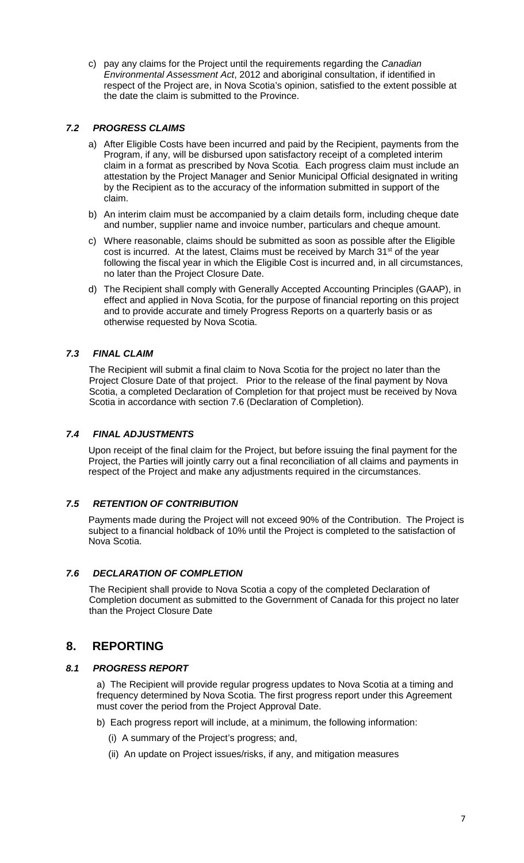c) pay any claims for the Project until the requirements regarding the *Canadian Environmental Assessment Act*, 2012 and aboriginal consultation, if identified in respect of the Project are, in Nova Scotia's opinion, satisfied to the extent possible at the date the claim is submitted to the Province.

### *7.2 PROGRESS CLAIMS*

- a) After Eligible Costs have been incurred and paid by the Recipient, payments from the Program, if any, will be disbursed upon satisfactory receipt of a completed interim claim in a format as prescribed by Nova Scotia. Each progress claim must include an attestation by the Project Manager and Senior Municipal Official designated in writing by the Recipient as to the accuracy of the information submitted in support of the claim.
- b) An interim claim must be accompanied by a claim details form, including cheque date and number, supplier name and invoice number, particulars and cheque amount.
- c) Where reasonable, claims should be submitted as soon as possible after the Eligible cost is incurred. At the latest, Claims must be received by March 31<sup>st</sup> of the year following the fiscal year in which the Eligible Cost is incurred and, in all circumstances, no later than the Project Closure Date.
- d) The Recipient shall comply with Generally Accepted Accounting Principles (GAAP), in effect and applied in Nova Scotia, for the purpose of financial reporting on this project and to provide accurate and timely Progress Reports on a quarterly basis or as otherwise requested by Nova Scotia.

### *7.3 FINAL CLAIM*

The Recipient will submit a final claim to Nova Scotia for the project no later than the Project Closure Date of that project. Prior to the release of the final payment by Nova Scotia, a completed Declaration of Completion for that project must be received by Nova Scotia in accordance with section 7.6 (Declaration of Completion).

### *7.4 FINAL ADJUSTMENTS*

Upon receipt of the final claim for the Project, but before issuing the final payment for the Project, the Parties will jointly carry out a final reconciliation of all claims and payments in respect of the Project and make any adjustments required in the circumstances.

### *7.5 RETENTION OF CONTRIBUTION*

Payments made during the Project will not exceed 90% of the Contribution. The Project is subject to a financial holdback of 10% until the Project is completed to the satisfaction of Nova Scotia.

### *7.6 DECLARATION OF COMPLETION*

The Recipient shall provide to Nova Scotia a copy of the completed Declaration of Completion document as submitted to the Government of Canada for this project no later than the Project Closure Date

## **8. REPORTING**

### *8.1 PROGRESS REPORT*

a) The Recipient will provide regular progress updates to Nova Scotia at a timing and frequency determined by Nova Scotia. The first progress report under this Agreement must cover the period from the Project Approval Date.

- b) Each progress report will include, at a minimum, the following information:
	- (i) A summary of the Project's progress; and,
	- (ii) An update on Project issues/risks, if any, and mitigation measures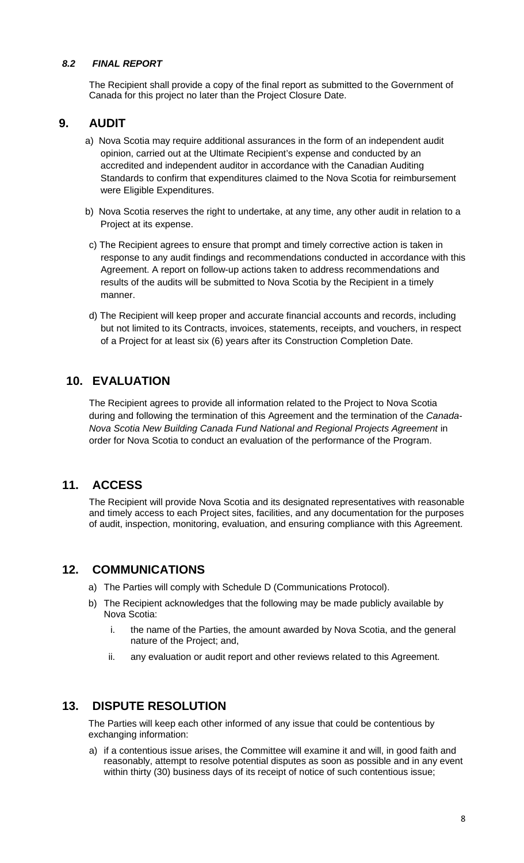### *8.2 FINAL REPORT*

The Recipient shall provide a copy of the final report as submitted to the Government of Canada for this project no later than the Project Closure Date.

## **9. AUDIT**

- a) Nova Scotia may require additional assurances in the form of an independent audit opinion, carried out at the Ultimate Recipient's expense and conducted by an accredited and independent auditor in accordance with the Canadian Auditing Standards to confirm that expenditures claimed to the Nova Scotia for reimbursement were Eligible Expenditures.
- b) Nova Scotia reserves the right to undertake, at any time, any other audit in relation to a Project at its expense.
- c) The Recipient agrees to ensure that prompt and timely corrective action is taken in response to any audit findings and recommendations conducted in accordance with this Agreement. A report on follow-up actions taken to address recommendations and results of the audits will be submitted to Nova Scotia by the Recipient in a timely manner.
- d) The Recipient will keep proper and accurate financial accounts and records, including but not limited to its Contracts, invoices, statements, receipts, and vouchers, in respect of a Project for at least six (6) years after its Construction Completion Date.

## **10. EVALUATION**

The Recipient agrees to provide all information related to the Project to Nova Scotia during and following the termination of this Agreement and the termination of the *Canada-Nova Scotia New Building Canada Fund National and Regional Projects Agreement* in order for Nova Scotia to conduct an evaluation of the performance of the Program.

## **11. ACCESS**

The Recipient will provide Nova Scotia and its designated representatives with reasonable and timely access to each Project sites, facilities, and any documentation for the purposes of audit, inspection, monitoring, evaluation, and ensuring compliance with this Agreement.

## **12. COMMUNICATIONS**

- a) The Parties will comply with Schedule D (Communications Protocol).
- b) The Recipient acknowledges that the following may be made publicly available by Nova Scotia:
	- i. the name of the Parties, the amount awarded by Nova Scotia, and the general nature of the Project; and,
	- ii. any evaluation or audit report and other reviews related to this Agreement.

## **13. DISPUTE RESOLUTION**

The Parties will keep each other informed of any issue that could be contentious by exchanging information:

a) if a contentious issue arises, the Committee will examine it and will, in good faith and reasonably, attempt to resolve potential disputes as soon as possible and in any event within thirty (30) business days of its receipt of notice of such contentious issue;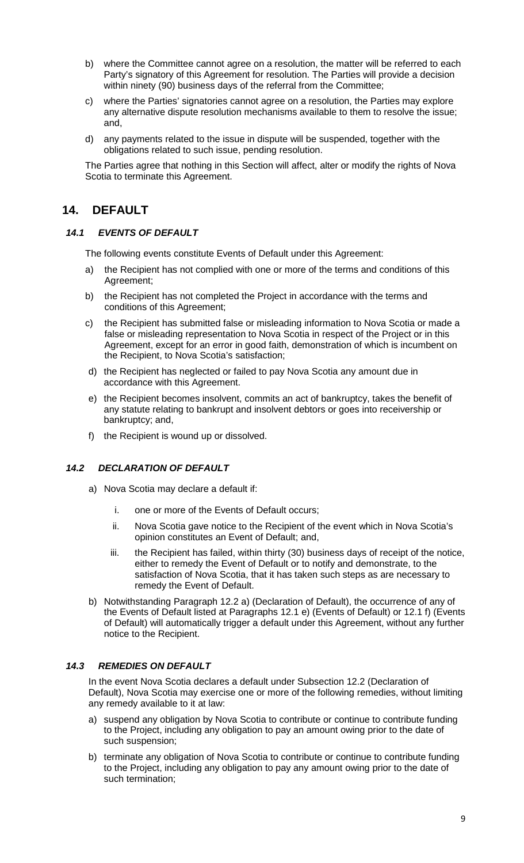- b) where the Committee cannot agree on a resolution, the matter will be referred to each Party's signatory of this Agreement for resolution. The Parties will provide a decision within ninety (90) business days of the referral from the Committee;
- c) where the Parties' signatories cannot agree on a resolution, the Parties may explore any alternative dispute resolution mechanisms available to them to resolve the issue; and,
- d) any payments related to the issue in dispute will be suspended, together with the obligations related to such issue, pending resolution.

The Parties agree that nothing in this Section will affect, alter or modify the rights of Nova Scotia to terminate this Agreement.

## **14. DEFAULT**

### *14.1 EVENTS OF DEFAULT*

The following events constitute Events of Default under this Agreement:

- a) the Recipient has not complied with one or more of the terms and conditions of this Agreement;
- b) the Recipient has not completed the Project in accordance with the terms and conditions of this Agreement;
- c) the Recipient has submitted false or misleading information to Nova Scotia or made a false or misleading representation to Nova Scotia in respect of the Project or in this Agreement, except for an error in good faith, demonstration of which is incumbent on the Recipient, to Nova Scotia's satisfaction;
- d) the Recipient has neglected or failed to pay Nova Scotia any amount due in accordance with this Agreement.
- e) the Recipient becomes insolvent, commits an act of bankruptcy, takes the benefit of any statute relating to bankrupt and insolvent debtors or goes into receivership or bankruptcy; and,
- f) the Recipient is wound up or dissolved.

### *14.2 DECLARATION OF DEFAULT*

- a) Nova Scotia may declare a default if:
	- i. one or more of the Events of Default occurs;
	- ii. Nova Scotia gave notice to the Recipient of the event which in Nova Scotia's opinion constitutes an Event of Default; and,
	- iii. the Recipient has failed, within thirty (30) business days of receipt of the notice, either to remedy the Event of Default or to notify and demonstrate, to the satisfaction of Nova Scotia, that it has taken such steps as are necessary to remedy the Event of Default.
- b) Notwithstanding Paragraph 12.2 a) (Declaration of Default), the occurrence of any of the Events of Default listed at Paragraphs 12.1 e) (Events of Default) or 12.1 f) (Events of Default) will automatically trigger a default under this Agreement, without any further notice to the Recipient.

### *14.3 REMEDIES ON DEFAULT*

In the event Nova Scotia declares a default under Subsection 12.2 (Declaration of Default), Nova Scotia may exercise one or more of the following remedies, without limiting any remedy available to it at law:

- a) suspend any obligation by Nova Scotia to contribute or continue to contribute funding to the Project, including any obligation to pay an amount owing prior to the date of such suspension;
- b) terminate any obligation of Nova Scotia to contribute or continue to contribute funding to the Project, including any obligation to pay any amount owing prior to the date of such termination;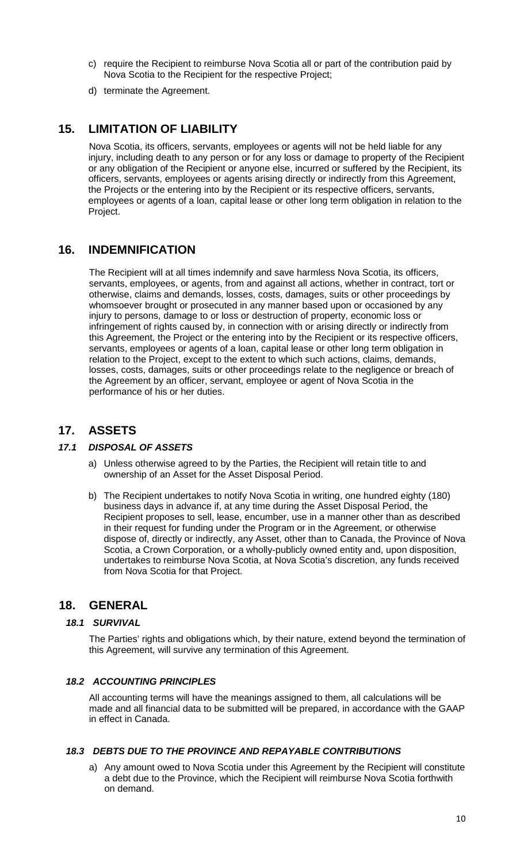- c) require the Recipient to reimburse Nova Scotia all or part of the contribution paid by Nova Scotia to the Recipient for the respective Project;
- d) terminate the Agreement.

## **15. LIMITATION OF LIABILITY**

Nova Scotia, its officers, servants, employees or agents will not be held liable for any injury, including death to any person or for any loss or damage to property of the Recipient or any obligation of the Recipient or anyone else, incurred or suffered by the Recipient, its officers, servants, employees or agents arising directly or indirectly from this Agreement, the Projects or the entering into by the Recipient or its respective officers, servants, employees or agents of a loan, capital lease or other long term obligation in relation to the Project.

## **16. INDEMNIFICATION**

The Recipient will at all times indemnify and save harmless Nova Scotia, its officers, servants, employees, or agents, from and against all actions, whether in contract, tort or otherwise, claims and demands, losses, costs, damages, suits or other proceedings by whomsoever brought or prosecuted in any manner based upon or occasioned by any injury to persons, damage to or loss or destruction of property, economic loss or infringement of rights caused by, in connection with or arising directly or indirectly from this Agreement, the Project or the entering into by the Recipient or its respective officers, servants, employees or agents of a loan, capital lease or other long term obligation in relation to the Project, except to the extent to which such actions, claims, demands, losses, costs, damages, suits or other proceedings relate to the negligence or breach of the Agreement by an officer, servant, employee or agent of Nova Scotia in the performance of his or her duties.

## **17. ASSETS**

### *17.1 DISPOSAL OF ASSETS*

- a) Unless otherwise agreed to by the Parties, the Recipient will retain title to and ownership of an Asset for the Asset Disposal Period.
- b) The Recipient undertakes to notify Nova Scotia in writing, one hundred eighty (180) business days in advance if, at any time during the Asset Disposal Period, the Recipient proposes to sell, lease, encumber, use in a manner other than as described in their request for funding under the Program or in the Agreement, or otherwise dispose of, directly or indirectly, any Asset, other than to Canada, the Province of Nova Scotia, a Crown Corporation, or a wholly-publicly owned entity and, upon disposition, undertakes to reimburse Nova Scotia, at Nova Scotia's discretion, any funds received from Nova Scotia for that Project.

### **18. GENERAL**

### *18.1 SURVIVAL*

The Parties' rights and obligations which, by their nature, extend beyond the termination of this Agreement, will survive any termination of this Agreement.

### *18.2 ACCOUNTING PRINCIPLES*

All accounting terms will have the meanings assigned to them, all calculations will be made and all financial data to be submitted will be prepared, in accordance with the GAAP in effect in Canada.

### *18.3 DEBTS DUE TO THE PROVINCE AND REPAYABLE CONTRIBUTIONS*

a) Any amount owed to Nova Scotia under this Agreement by the Recipient will constitute a debt due to the Province, which the Recipient will reimburse Nova Scotia forthwith on demand.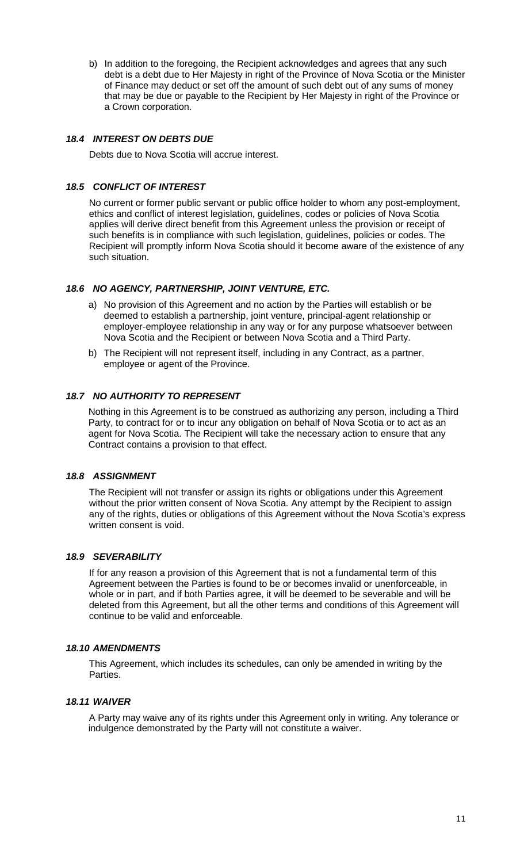b) In addition to the foregoing, the Recipient acknowledges and agrees that any such debt is a debt due to Her Majesty in right of the Province of Nova Scotia or the Minister of Finance may deduct or set off the amount of such debt out of any sums of money that may be due or payable to the Recipient by Her Majesty in right of the Province or a Crown corporation.

### *18.4 INTEREST ON DEBTS DUE*

Debts due to Nova Scotia will accrue interest.

### *18.5 CONFLICT OF INTEREST*

No current or former public servant or public office holder to whom any post-employment, ethics and conflict of interest legislation, guidelines, codes or policies of Nova Scotia applies will derive direct benefit from this Agreement unless the provision or receipt of such benefits is in compliance with such legislation, guidelines, policies or codes. The Recipient will promptly inform Nova Scotia should it become aware of the existence of any such situation.

### *18.6 NO AGENCY, PARTNERSHIP, JOINT VENTURE, ETC.*

- a) No provision of this Agreement and no action by the Parties will establish or be deemed to establish a partnership, joint venture, principal-agent relationship or employer-employee relationship in any way or for any purpose whatsoever between Nova Scotia and the Recipient or between Nova Scotia and a Third Party.
- b) The Recipient will not represent itself, including in any Contract, as a partner, employee or agent of the Province.

#### *18.7 NO AUTHORITY TO REPRESENT*

Nothing in this Agreement is to be construed as authorizing any person, including a Third Party, to contract for or to incur any obligation on behalf of Nova Scotia or to act as an agent for Nova Scotia. The Recipient will take the necessary action to ensure that any Contract contains a provision to that effect.

#### *18.8 ASSIGNMENT*

The Recipient will not transfer or assign its rights or obligations under this Agreement without the prior written consent of Nova Scotia. Any attempt by the Recipient to assign any of the rights, duties or obligations of this Agreement without the Nova Scotia's express written consent is void.

#### *18.9 SEVERABILITY*

If for any reason a provision of this Agreement that is not a fundamental term of this Agreement between the Parties is found to be or becomes invalid or unenforceable, in whole or in part, and if both Parties agree, it will be deemed to be severable and will be deleted from this Agreement, but all the other terms and conditions of this Agreement will continue to be valid and enforceable.

#### *18.10 AMENDMENTS*

This Agreement, which includes its schedules, can only be amended in writing by the Parties.

#### *18.11 WAIVER*

A Party may waive any of its rights under this Agreement only in writing. Any tolerance or indulgence demonstrated by the Party will not constitute a waiver.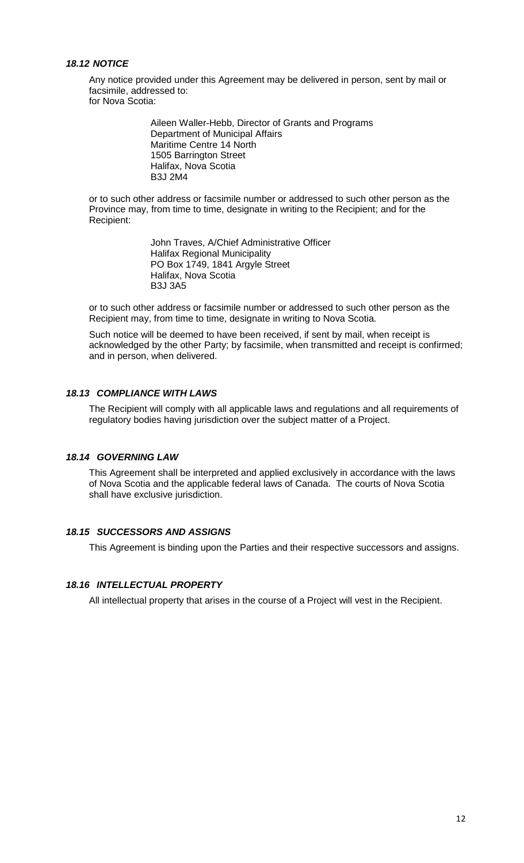#### *18.12 NOTICE*

Any notice provided under this Agreement may be delivered in person, sent by mail or facsimile, addressed to: for Nova Scotia:

> Aileen Waller-Hebb, Director of Grants and Programs Department of Municipal Affairs Maritime Centre 14 North 1505 Barrington Street Halifax, Nova Scotia B3J 2M4

or to such other address or facsimile number or addressed to such other person as the Province may, from time to time, designate in writing to the Recipient; and for the Recipient:

> John Traves, A/Chief Administrative Officer Halifax Regional Municipality PO Box 1749, 1841 Argyle Street Halifax, Nova Scotia B3J 3A5

or to such other address or facsimile number or addressed to such other person as the Recipient may, from time to time, designate in writing to Nova Scotia.

Such notice will be deemed to have been received, if sent by mail, when receipt is acknowledged by the other Party; by facsimile, when transmitted and receipt is confirmed; and in person, when delivered.

### *18.13 COMPLIANCE WITH LAWS*

The Recipient will comply with all applicable laws and regulations and all requirements of regulatory bodies having jurisdiction over the subject matter of a Project.

### *18.14 GOVERNING LAW*

This Agreement shall be interpreted and applied exclusively in accordance with the laws of Nova Scotia and the applicable federal laws of Canada. The courts of Nova Scotia shall have exclusive jurisdiction.

### *18.15 SUCCESSORS AND ASSIGNS*

This Agreement is binding upon the Parties and their respective successors and assigns.

### *18.16 INTELLECTUAL PROPERTY*

All intellectual property that arises in the course of a Project will vest in the Recipient.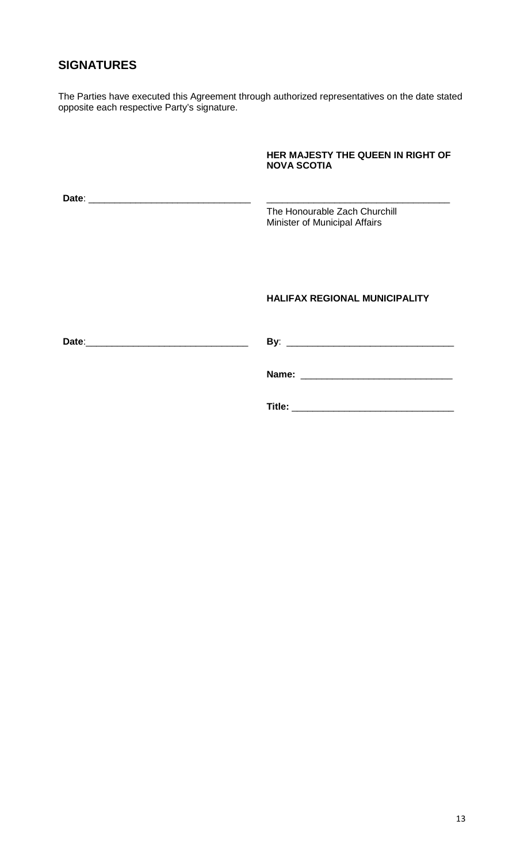# **SIGNATURES**

The Parties have executed this Agreement through authorized representatives on the date stated opposite each respective Party's signature.

| HER MAJESTY THE QUEEN IN RIGHT OF<br><b>NOVA SCOTIA</b>        |
|----------------------------------------------------------------|
| The Honourable Zach Churchill<br>Minister of Municipal Affairs |
| <b>HALIFAX REGIONAL MUNICIPALITY</b>                           |
|                                                                |
|                                                                |
|                                                                |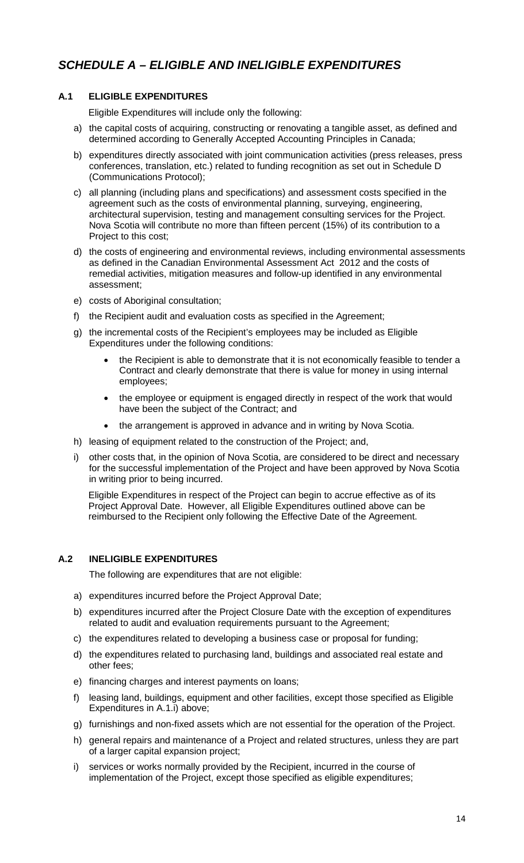# *SCHEDULE A – ELIGIBLE AND INELIGIBLE EXPENDITURES*

### **A.1 ELIGIBLE EXPENDITURES**

Eligible Expenditures will include only the following:

- a) the capital costs of acquiring, constructing or renovating a tangible asset, as defined and determined according to Generally Accepted Accounting Principles in Canada;
- b) expenditures directly associated with joint communication activities (press releases, press conferences, translation, etc.) related to funding recognition as set out in Schedule D (Communications Protocol);
- c) all planning (including plans and specifications) and assessment costs specified in the agreement such as the costs of environmental planning, surveying, engineering, architectural supervision, testing and management consulting services for the Project. Nova Scotia will contribute no more than fifteen percent (15%) of its contribution to a Project to this cost;
- d) the costs of engineering and environmental reviews, including environmental assessments as defined in the Canadian Environmental Assessment Act 2012 and the costs of remedial activities, mitigation measures and follow-up identified in any environmental assessment;
- e) costs of Aboriginal consultation;
- f) the Recipient audit and evaluation costs as specified in the Agreement;
- g) the incremental costs of the Recipient's employees may be included as Eligible Expenditures under the following conditions:
	- the Recipient is able to demonstrate that it is not economically feasible to tender a Contract and clearly demonstrate that there is value for money in using internal employees;
	- the employee or equipment is engaged directly in respect of the work that would have been the subject of the Contract; and
	- the arrangement is approved in advance and in writing by Nova Scotia.
- h) leasing of equipment related to the construction of the Project; and,
- i) other costs that, in the opinion of Nova Scotia, are considered to be direct and necessary for the successful implementation of the Project and have been approved by Nova Scotia in writing prior to being incurred.

Eligible Expenditures in respect of the Project can begin to accrue effective as of its Project Approval Date. However, all Eligible Expenditures outlined above can be reimbursed to the Recipient only following the Effective Date of the Agreement.

### **A.2 INELIGIBLE EXPENDITURES**

The following are expenditures that are not eligible:

- a) expenditures incurred before the Project Approval Date;
- b) expenditures incurred after the Project Closure Date with the exception of expenditures related to audit and evaluation requirements pursuant to the Agreement;
- c) the expenditures related to developing a business case or proposal for funding;
- d) the expenditures related to purchasing land, buildings and associated real estate and other fees;
- e) financing charges and interest payments on loans;
- f) leasing land, buildings, equipment and other facilities, except those specified as Eligible Expenditures in A.1.i) above;
- g) furnishings and non-fixed assets which are not essential for the operation of the Project.
- h) general repairs and maintenance of a Project and related structures, unless they are part of a larger capital expansion project;
- i) services or works normally provided by the Recipient, incurred in the course of implementation of the Project, except those specified as eligible expenditures;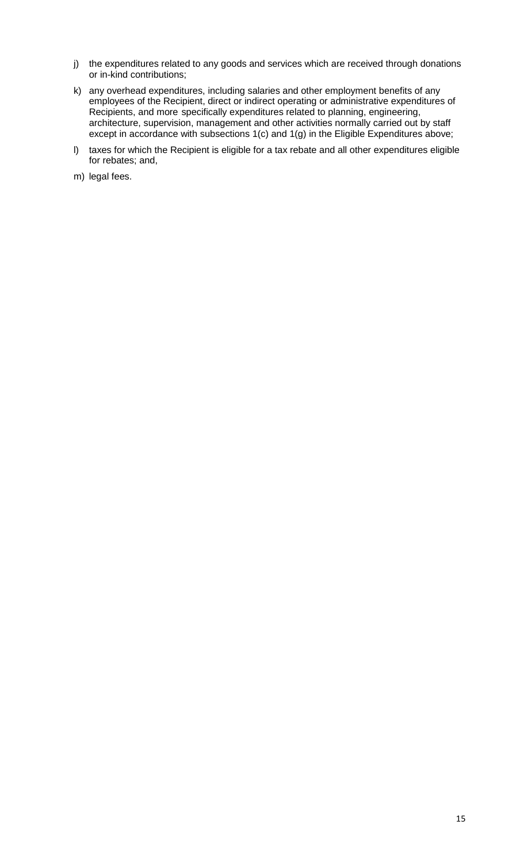- j) the expenditures related to any goods and services which are received through donations or in-kind contributions;
- k) any overhead expenditures, including salaries and other employment benefits of any employees of the Recipient, direct or indirect operating or administrative expenditures of Recipients, and more specifically expenditures related to planning, engineering, architecture, supervision, management and other activities normally carried out by staff except in accordance with subsections 1(c) and 1(g) in the Eligible Expenditures above;
- l) taxes for which the Recipient is eligible for a tax rebate and all other expenditures eligible for rebates; and,
- m) legal fees.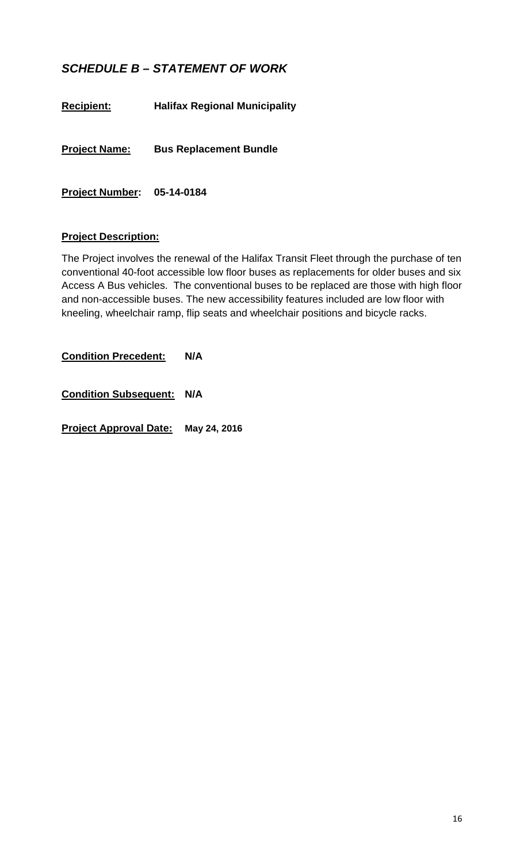# *SCHEDULE B – STATEMENT OF WORK*

**Recipient: Halifax Regional Municipality**

**Project Name: Bus Replacement Bundle**

**Project Number: 05-14-0184**

### **Project Description:**

The Project involves the renewal of the Halifax Transit Fleet through the purchase of ten conventional 40-foot accessible low floor buses as replacements for older buses and six Access A Bus vehicles. The conventional buses to be replaced are those with high floor and non-accessible buses. The new accessibility features included are low floor with kneeling, wheelchair ramp, flip seats and wheelchair positions and bicycle racks.

**Condition Precedent: N/A Condition Subsequent: N/A Project Approval Date: May 24, 2016**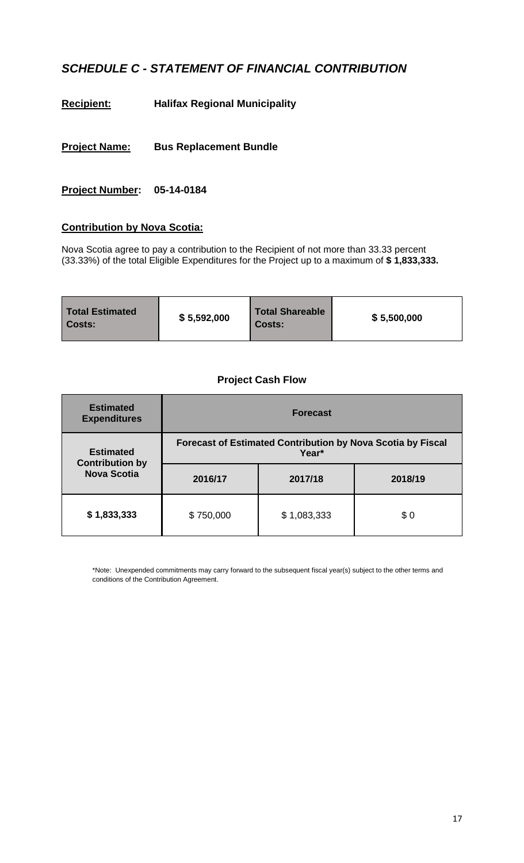# *SCHEDULE C - STATEMENT OF FINANCIAL CONTRIBUTION*

**Recipient: Halifax Regional Municipality**

**Project Name: Bus Replacement Bundle**

**Project Number: 05-14-0184**

### **Contribution by Nova Scotia:**

Nova Scotia agree to pay a contribution to the Recipient of not more than 33.33 percent (33.33%) of the total Eligible Expenditures for the Project up to a maximum of **\$ 1,833,333.**

| Total Estimated<br>Costs: | \$5,592,000 | <b>Total Shareable</b><br>Costs: | \$5,500,000 |
|---------------------------|-------------|----------------------------------|-------------|
|---------------------------|-------------|----------------------------------|-------------|

### **Project Cash Flow**

| <b>Estimated</b><br><b>Expenditures</b>                          | <b>Forecast</b>                                                             |             |         |
|------------------------------------------------------------------|-----------------------------------------------------------------------------|-------------|---------|
| <b>Estimated</b><br><b>Contribution by</b><br><b>Nova Scotia</b> | <b>Forecast of Estimated Contribution by Nova Scotia by Fiscal</b><br>Year* |             |         |
|                                                                  | 2016/17                                                                     | 2017/18     | 2018/19 |
| \$1,833,333                                                      | \$750,000                                                                   | \$1,083,333 | \$0     |

\*Note: Unexpended commitments may carry forward to the subsequent fiscal year(s) subject to the other terms and conditions of the Contribution Agreement.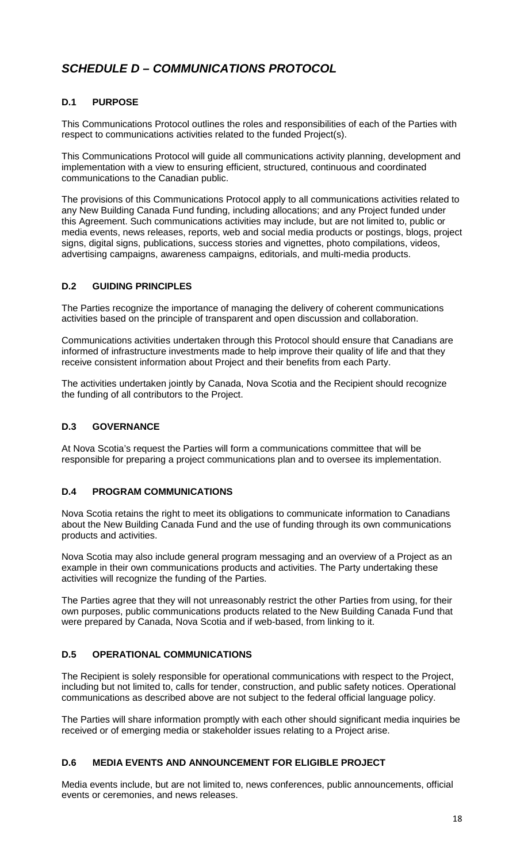# *SCHEDULE D – COMMUNICATIONS PROTOCOL*

### **D.1 PURPOSE**

This Communications Protocol outlines the roles and responsibilities of each of the Parties with respect to communications activities related to the funded Project(s).

This Communications Protocol will guide all communications activity planning, development and implementation with a view to ensuring efficient, structured, continuous and coordinated communications to the Canadian public.

The provisions of this Communications Protocol apply to all communications activities related to any New Building Canada Fund funding, including allocations; and any Project funded under this Agreement. Such communications activities may include, but are not limited to, public or media events, news releases, reports, web and social media products or postings, blogs, project signs, digital signs, publications, success stories and vignettes, photo compilations, videos, advertising campaigns, awareness campaigns, editorials, and multi-media products.

### **D.2 GUIDING PRINCIPLES**

The Parties recognize the importance of managing the delivery of coherent communications activities based on the principle of transparent and open discussion and collaboration.

Communications activities undertaken through this Protocol should ensure that Canadians are informed of infrastructure investments made to help improve their quality of life and that they receive consistent information about Project and their benefits from each Party.

The activities undertaken jointly by Canada, Nova Scotia and the Recipient should recognize the funding of all contributors to the Project.

### **D.3 GOVERNANCE**

At Nova Scotia's request the Parties will form a communications committee that will be responsible for preparing a project communications plan and to oversee its implementation.

### **D.4 PROGRAM COMMUNICATIONS**

Nova Scotia retains the right to meet its obligations to communicate information to Canadians about the New Building Canada Fund and the use of funding through its own communications products and activities.

Nova Scotia may also include general program messaging and an overview of a Project as an example in their own communications products and activities. The Party undertaking these activities will recognize the funding of the Parties.

The Parties agree that they will not unreasonably restrict the other Parties from using, for their own purposes, public communications products related to the New Building Canada Fund that were prepared by Canada, Nova Scotia and if web-based, from linking to it.

### **D.5 OPERATIONAL COMMUNICATIONS**

The Recipient is solely responsible for operational communications with respect to the Project, including but not limited to, calls for tender, construction, and public safety notices. Operational communications as described above are not subject to the federal official language policy.

The Parties will share information promptly with each other should significant media inquiries be received or of emerging media or stakeholder issues relating to a Project arise.

### **D.6 MEDIA EVENTS AND ANNOUNCEMENT FOR ELIGIBLE PROJECT**

Media events include, but are not limited to, news conferences, public announcements, official events or ceremonies, and news releases.